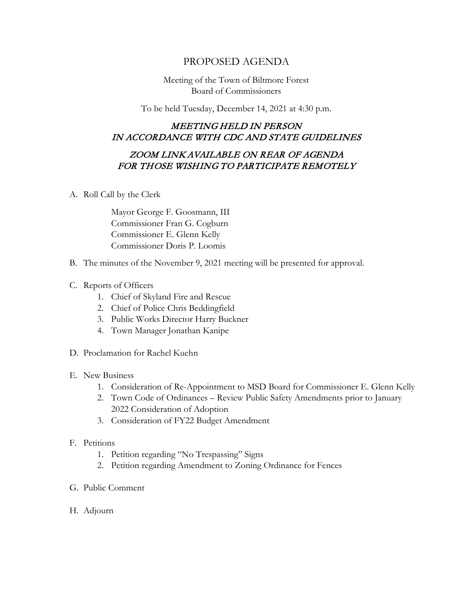## PROPOSED AGENDA

Meeting of the Town of Biltmore Forest Board of Commissioners

To be held Tuesday, December 14, 2021 at 4:30 p.m.

## MEETING HELD IN PERSON IN ACCORDANCE WITH CDC AND STATE GUIDELINES

## ZOOM LINK AVAILABLE ON REAR OF AGENDA FOR THOSE WISHING TO PARTICIPATE REMOTELY

A. Roll Call by the Clerk

Mayor George F. Goosmann, III Commissioner Fran G. Cogburn Commissioner E. Glenn Kelly Commissioner Doris P. Loomis

- B. The minutes of the November 9, 2021 meeting will be presented for approval.
- C. Reports of Officers
	- 1. Chief of Skyland Fire and Rescue
	- 2. Chief of Police Chris Beddingfield
	- 3. Public Works Director Harry Buckner
	- 4. Town Manager Jonathan Kanipe
- D. Proclamation for Rachel Kuehn
- E. New Business
	- 1. Consideration of Re-Appointment to MSD Board for Commissioner E. Glenn Kelly
	- 2. Town Code of Ordinances Review Public Safety Amendments prior to January 2022 Consideration of Adoption
	- 3. Consideration of FY22 Budget Amendment
- F. Petitions
	- 1. Petition regarding "No Trespassing" Signs
	- 2. Petition regarding Amendment to Zoning Ordinance for Fences
- G. Public Comment
- H. Adjourn